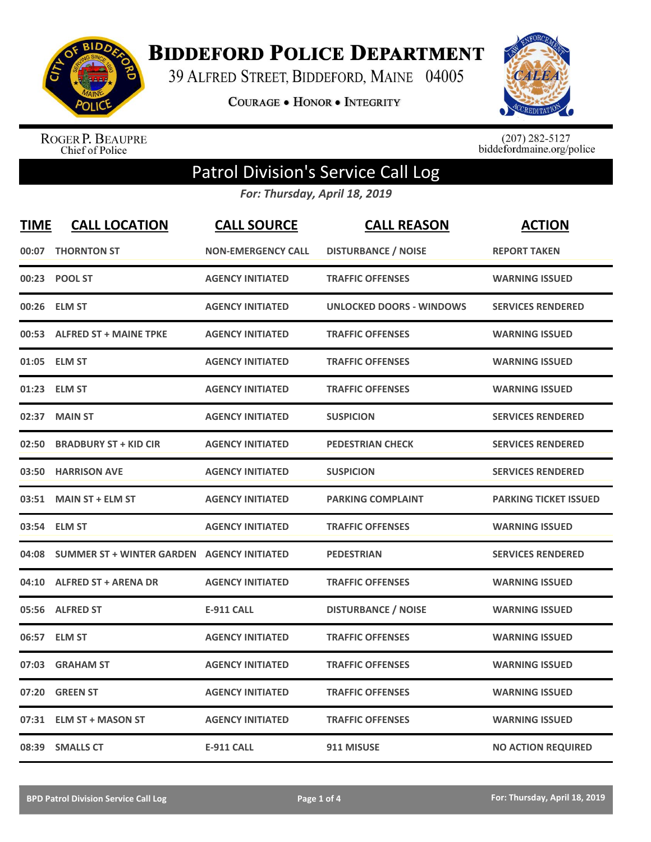

**BIDDEFORD POLICE DEPARTMENT** 

39 ALFRED STREET, BIDDEFORD, MAINE 04005

**COURAGE . HONOR . INTEGRITY** 



ROGER P. BEAUPRE<br>Chief of Police

 $(207)$  282-5127<br>biddefordmaine.org/police

## Patrol Division's Service Call Log

*For: Thursday, April 18, 2019*

| <b>TIME</b> | <b>CALL LOCATION</b>                              | <b>CALL SOURCE</b>        | <b>CALL REASON</b>              | <b>ACTION</b>                |
|-------------|---------------------------------------------------|---------------------------|---------------------------------|------------------------------|
| 00:07       | <b>THORNTON ST</b>                                | <b>NON-EMERGENCY CALL</b> | <b>DISTURBANCE / NOISE</b>      | <b>REPORT TAKEN</b>          |
| 00:23       | <b>POOL ST</b>                                    | <b>AGENCY INITIATED</b>   | <b>TRAFFIC OFFENSES</b>         | <b>WARNING ISSUED</b>        |
|             | 00:26 ELM ST                                      | <b>AGENCY INITIATED</b>   | <b>UNLOCKED DOORS - WINDOWS</b> | <b>SERVICES RENDERED</b>     |
|             | 00:53 ALFRED ST + MAINE TPKE                      | <b>AGENCY INITIATED</b>   | <b>TRAFFIC OFFENSES</b>         | <b>WARNING ISSUED</b>        |
| 01:05       | <b>ELM ST</b>                                     | <b>AGENCY INITIATED</b>   | <b>TRAFFIC OFFENSES</b>         | <b>WARNING ISSUED</b>        |
| 01:23       | <b>ELM ST</b>                                     | <b>AGENCY INITIATED</b>   | <b>TRAFFIC OFFENSES</b>         | <b>WARNING ISSUED</b>        |
| 02:37       | <b>MAIN ST</b>                                    | <b>AGENCY INITIATED</b>   | <b>SUSPICION</b>                | <b>SERVICES RENDERED</b>     |
| 02:50       | <b>BRADBURY ST + KID CIR</b>                      | <b>AGENCY INITIATED</b>   | <b>PEDESTRIAN CHECK</b>         | <b>SERVICES RENDERED</b>     |
| 03:50       | <b>HARRISON AVE</b>                               | <b>AGENCY INITIATED</b>   | <b>SUSPICION</b>                | <b>SERVICES RENDERED</b>     |
| 03:51       | <b>MAIN ST + ELM ST</b>                           | <b>AGENCY INITIATED</b>   | <b>PARKING COMPLAINT</b>        | <b>PARKING TICKET ISSUED</b> |
|             | 03:54 ELM ST                                      | <b>AGENCY INITIATED</b>   | <b>TRAFFIC OFFENSES</b>         | <b>WARNING ISSUED</b>        |
| 04:08       | <b>SUMMER ST + WINTER GARDEN AGENCY INITIATED</b> |                           | <b>PEDESTRIAN</b>               | <b>SERVICES RENDERED</b>     |
| 04:10       | <b>ALFRED ST + ARENA DR</b>                       | <b>AGENCY INITIATED</b>   | <b>TRAFFIC OFFENSES</b>         | <b>WARNING ISSUED</b>        |
| 05:56       | <b>ALFRED ST</b>                                  | <b>E-911 CALL</b>         | <b>DISTURBANCE / NOISE</b>      | <b>WARNING ISSUED</b>        |
| 06:57       | <b>ELM ST</b>                                     | <b>AGENCY INITIATED</b>   | <b>TRAFFIC OFFENSES</b>         | <b>WARNING ISSUED</b>        |
| 07:03       | <b>GRAHAM ST</b>                                  | <b>AGENCY INITIATED</b>   | <b>TRAFFIC OFFENSES</b>         | <b>WARNING ISSUED</b>        |
| 07:20       | <b>GREEN ST</b>                                   | <b>AGENCY INITIATED</b>   | <b>TRAFFIC OFFENSES</b>         | <b>WARNING ISSUED</b>        |
| 07:31       | <b>ELM ST + MASON ST</b>                          | <b>AGENCY INITIATED</b>   | <b>TRAFFIC OFFENSES</b>         | <b>WARNING ISSUED</b>        |
|             | 08:39 SMALLS CT                                   | <b>E-911 CALL</b>         | 911 MISUSE                      | <b>NO ACTION REQUIRED</b>    |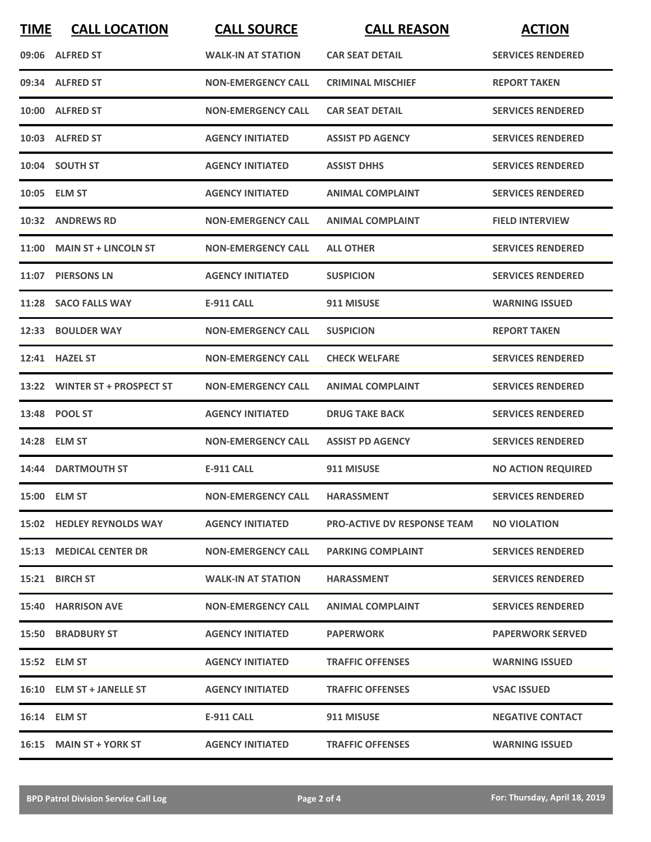| <b>TIME</b> | <b>CALL LOCATION</b>           | <b>CALL SOURCE</b>            | <b>CALL REASON</b>                 | <b>ACTION</b>             |
|-------------|--------------------------------|-------------------------------|------------------------------------|---------------------------|
|             | 09:06 ALFRED ST                | <b>WALK-IN AT STATION</b>     | <b>CAR SEAT DETAIL</b>             | <b>SERVICES RENDERED</b>  |
|             | 09:34 ALFRED ST                | <b>NON-EMERGENCY CALL</b>     | <b>CRIMINAL MISCHIEF</b>           | <b>REPORT TAKEN</b>       |
|             | 10:00 ALFRED ST                | <b>NON-EMERGENCY CALL</b>     | <b>CAR SEAT DETAIL</b>             | <b>SERVICES RENDERED</b>  |
|             | 10:03 ALFRED ST                | <b>AGENCY INITIATED</b>       | <b>ASSIST PD AGENCY</b>            | <b>SERVICES RENDERED</b>  |
|             | 10:04 SOUTH ST                 | <b>AGENCY INITIATED</b>       | <b>ASSIST DHHS</b>                 | <b>SERVICES RENDERED</b>  |
|             | 10:05 ELM ST                   | <b>AGENCY INITIATED</b>       | <b>ANIMAL COMPLAINT</b>            | <b>SERVICES RENDERED</b>  |
|             | 10:32 ANDREWS RD               | <b>NON-EMERGENCY CALL</b>     | <b>ANIMAL COMPLAINT</b>            | <b>FIELD INTERVIEW</b>    |
|             | 11:00 MAIN ST + LINCOLN ST     | <b>NON-EMERGENCY CALL</b>     | <b>ALL OTHER</b>                   | <b>SERVICES RENDERED</b>  |
|             | 11:07 PIERSONS LN              | <b>AGENCY INITIATED</b>       | <b>SUSPICION</b>                   | <b>SERVICES RENDERED</b>  |
|             | 11:28 SACO FALLS WAY           | E-911 CALL                    | 911 MISUSE                         | <b>WARNING ISSUED</b>     |
|             | 12:33 BOULDER WAY              | <b>NON-EMERGENCY CALL</b>     | <b>SUSPICION</b>                   | <b>REPORT TAKEN</b>       |
|             | 12:41 HAZEL ST                 | <b>NON-EMERGENCY CALL</b>     | <b>CHECK WELFARE</b>               | <b>SERVICES RENDERED</b>  |
| 13:22       | <b>WINTER ST + PROSPECT ST</b> | <b>NON-EMERGENCY CALL</b>     | <b>ANIMAL COMPLAINT</b>            | <b>SERVICES RENDERED</b>  |
|             | 13:48 POOL ST                  | <b>AGENCY INITIATED</b>       | <b>DRUG TAKE BACK</b>              | <b>SERVICES RENDERED</b>  |
|             | 14:28 ELM ST                   | <b>NON-EMERGENCY CALL</b>     | <b>ASSIST PD AGENCY</b>            | <b>SERVICES RENDERED</b>  |
|             | 14:44 DARTMOUTH ST             | <b>E-911 CALL</b>             | 911 MISUSE                         | <b>NO ACTION REQUIRED</b> |
|             | 15:00 ELM ST                   | NON-EMERGENCY CALL HARASSMENT |                                    | <b>SERVICES RENDERED</b>  |
|             | 15:02 HEDLEY REYNOLDS WAY      | <b>AGENCY INITIATED</b>       | <b>PRO-ACTIVE DV RESPONSE TEAM</b> | <b>NO VIOLATION</b>       |
|             | <b>15:13 MEDICAL CENTER DR</b> | <b>NON-EMERGENCY CALL</b>     | <b>PARKING COMPLAINT</b>           | <b>SERVICES RENDERED</b>  |
|             | 15:21 BIRCH ST                 | <b>WALK-IN AT STATION</b>     | <b>HARASSMENT</b>                  | <b>SERVICES RENDERED</b>  |
|             | 15:40 HARRISON AVE             | <b>NON-EMERGENCY CALL</b>     | <b>ANIMAL COMPLAINT</b>            | <b>SERVICES RENDERED</b>  |
|             | <b>15:50 BRADBURY ST</b>       | <b>AGENCY INITIATED</b>       | <b>PAPERWORK</b>                   | <b>PAPERWORK SERVED</b>   |
|             | 15:52 ELM ST                   | <b>AGENCY INITIATED</b>       | <b>TRAFFIC OFFENSES</b>            | <b>WARNING ISSUED</b>     |
|             | 16:10 ELM ST + JANELLE ST      | <b>AGENCY INITIATED</b>       | <b>TRAFFIC OFFENSES</b>            | <b>VSAC ISSUED</b>        |
|             | 16:14 ELM ST                   | E-911 CALL                    | 911 MISUSE                         | <b>NEGATIVE CONTACT</b>   |
|             | 16:15 MAIN ST + YORK ST        | <b>AGENCY INITIATED</b>       | <b>TRAFFIC OFFENSES</b>            | <b>WARNING ISSUED</b>     |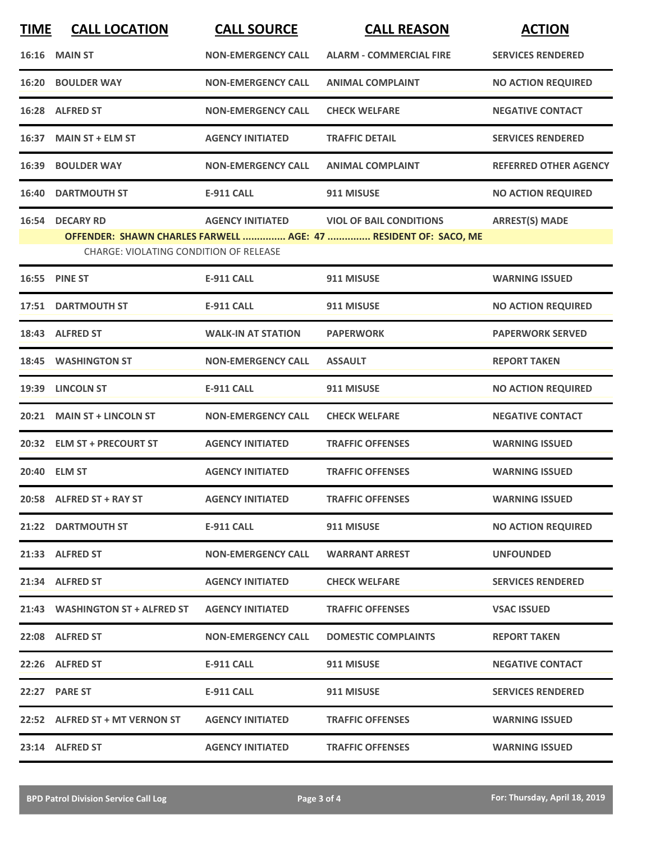| <b>TIME</b> | <b>CALL LOCATION</b>                          | <b>CALL SOURCE</b>        | <b>CALL REASON</b>                                              | <b>ACTION</b>                |
|-------------|-----------------------------------------------|---------------------------|-----------------------------------------------------------------|------------------------------|
|             | 16:16 MAIN ST                                 | <b>NON-EMERGENCY CALL</b> | <b>ALARM - COMMERCIAL FIRE</b>                                  | <b>SERVICES RENDERED</b>     |
|             | <b>16:20 BOULDER WAY</b>                      | <b>NON-EMERGENCY CALL</b> | <b>ANIMAL COMPLAINT</b>                                         | <b>NO ACTION REQUIRED</b>    |
|             | 16:28 ALFRED ST                               | <b>NON-EMERGENCY CALL</b> | <b>CHECK WELFARE</b>                                            | <b>NEGATIVE CONTACT</b>      |
|             | 16:37 MAIN ST + ELM ST                        | <b>AGENCY INITIATED</b>   | <b>TRAFFIC DETAIL</b>                                           | <b>SERVICES RENDERED</b>     |
|             | 16:39 BOULDER WAY                             | <b>NON-EMERGENCY CALL</b> | <b>ANIMAL COMPLAINT</b>                                         | <b>REFERRED OTHER AGENCY</b> |
|             | <b>16:40 DARTMOUTH ST</b>                     | <b>E-911 CALL</b>         | 911 MISUSE                                                      | <b>NO ACTION REQUIRED</b>    |
|             | 16:54 DECARY RD                               | <b>AGENCY INITIATED</b>   | <b>VIOL OF BAIL CONDITIONS</b>                                  | <b>ARREST(S) MADE</b>        |
|             | <b>CHARGE: VIOLATING CONDITION OF RELEASE</b> |                           | OFFENDER: SHAWN CHARLES FARWELL  AGE: 47  RESIDENT OF: SACO, ME |                              |
|             |                                               |                           |                                                                 |                              |
|             | 16:55 PINE ST                                 | <b>E-911 CALL</b>         | 911 MISUSE                                                      | <b>WARNING ISSUED</b>        |
|             | 17:51 DARTMOUTH ST                            | <b>E-911 CALL</b>         | 911 MISUSE                                                      | <b>NO ACTION REQUIRED</b>    |
|             | 18:43 ALFRED ST                               | <b>WALK-IN AT STATION</b> | <b>PAPERWORK</b>                                                | <b>PAPERWORK SERVED</b>      |
|             | 18:45 WASHINGTON ST                           | <b>NON-EMERGENCY CALL</b> | <b>ASSAULT</b>                                                  | <b>REPORT TAKEN</b>          |
|             | 19:39 LINCOLN ST                              | <b>E-911 CALL</b>         | 911 MISUSE                                                      | <b>NO ACTION REQUIRED</b>    |
| 20:21       | <b>MAIN ST + LINCOLN ST</b>                   | <b>NON-EMERGENCY CALL</b> | <b>CHECK WELFARE</b>                                            | <b>NEGATIVE CONTACT</b>      |
|             | 20:32 ELM ST + PRECOURT ST                    | <b>AGENCY INITIATED</b>   | <b>TRAFFIC OFFENSES</b>                                         | <b>WARNING ISSUED</b>        |
|             | 20:40 ELM ST                                  | <b>AGENCY INITIATED</b>   | <b>TRAFFIC OFFENSES</b>                                         | <b>WARNING ISSUED</b>        |
|             | 20:58 ALFRED ST + RAY ST                      | <b>AGENCY INITIATED</b>   | <b>TRAFFIC OFFENSES</b>                                         | <b>WARNING ISSUED</b>        |
|             | 21:22 DARTMOUTH ST                            | E-911 CALL                | 911 MISUSE                                                      | <b>NO ACTION REQUIRED</b>    |
|             | 21:33 ALFRED ST                               | <b>NON-EMERGENCY CALL</b> | <b>WARRANT ARREST</b>                                           | <b>UNFOUNDED</b>             |
|             | 21:34 ALFRED ST                               | <b>AGENCY INITIATED</b>   | <b>CHECK WELFARE</b>                                            | <b>SERVICES RENDERED</b>     |
|             | 21:43 WASHINGTON ST + ALFRED ST               | <b>AGENCY INITIATED</b>   | <b>TRAFFIC OFFENSES</b>                                         | <b>VSAC ISSUED</b>           |
|             | 22:08 ALFRED ST                               | <b>NON-EMERGENCY CALL</b> | <b>DOMESTIC COMPLAINTS</b>                                      | <b>REPORT TAKEN</b>          |
|             | 22:26 ALFRED ST                               | E-911 CALL                | 911 MISUSE                                                      | <b>NEGATIVE CONTACT</b>      |
|             | 22:27 PARE ST                                 | <b>E-911 CALL</b>         | 911 MISUSE                                                      | <b>SERVICES RENDERED</b>     |
|             | 22:52 ALFRED ST + MT VERNON ST                | <b>AGENCY INITIATED</b>   | <b>TRAFFIC OFFENSES</b>                                         | <b>WARNING ISSUED</b>        |
|             | 23:14 ALFRED ST                               | <b>AGENCY INITIATED</b>   | <b>TRAFFIC OFFENSES</b>                                         | <b>WARNING ISSUED</b>        |